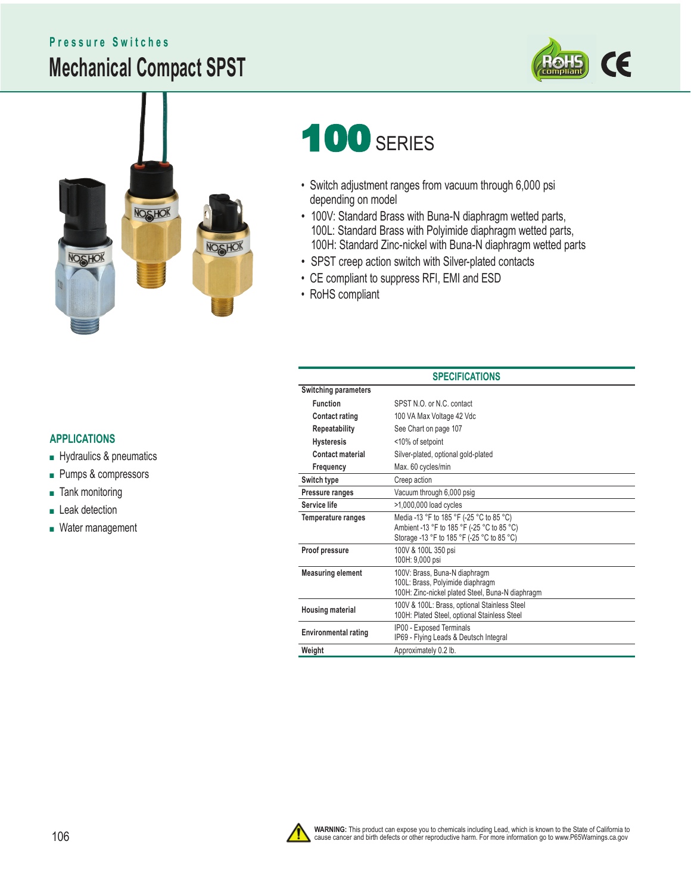# **Mechanical Compact SPST Pressure Switches**





# 100 SERIES

- Switch adjustment ranges from vacuum through 6,000 psi depending on model
- 100V: Standard Brass with Buna-N diaphragm wetted parts, 100L: Standard Brass with Polyimide diaphragm wetted parts, 100H: Standard Zinc-nickel with Buna-N diaphragm wetted parts
- SPST creep action switch with Silver-plated contacts
- CE compliant to suppress RFI, EMI and ESD
- RoHS compliant

#### **APPLICATIONS**

- Hydraulics & pneumatics
- Pumps & compressors
- Tank monitoring
- Leak detection
- Water management

#### **SPECIFICATIONS Switching parameters Function** SPST N.O. or N.C. contact **Contact rating** 100 VA Max Voltage 42 Vdc **Repeatability** See Chart on page 107 **Hysteresis** <10% of setpoint **Contact material** Silver-plated, optional gold-plated **Frequency** Max. 60 cycles/min **Switch type** Creep action **Pressure ranges** Vacuum through 6,000 psig Service life  $>1,000,000$  load cycles **Temperature ranges** Media -13 °F to 185 °F (-25 °C to 85 °C) Ambient -13 °F to 185 °F (-25 °C to 85 °C) Storage -13 °F to 185 °F (-25 °C to 85 °C) **Proof pressure** 100V & 100L 350 psi 100H: 9,000 psi **Measuring element** 100V: Brass, Buna-N diaphragm 100L: Brass, Polyimide diaphragm 100H: Zinc-nickel plated Steel, Buna-N diaphragm **Housing material** 100V & 100L: Brass, optional Stainless Steel 100H: Plated Steel, optional Stainless Steel **Environmental rating** IP00 - Exposed Terminals IP69 - Flying Leads & Deutsch Integral **Weight** Approximately 0.2 lb.

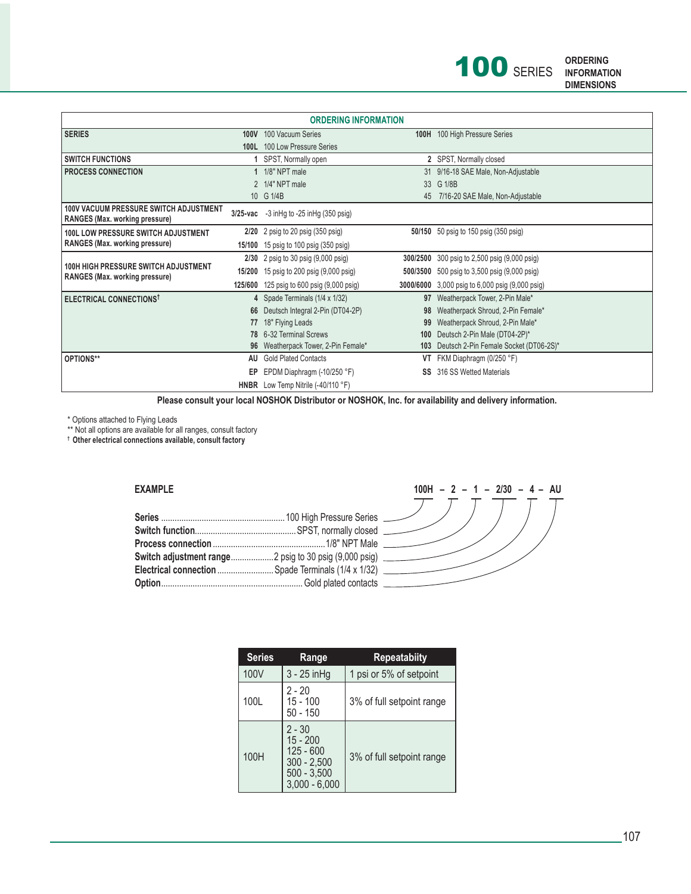

| <b>ORDERING INFORMATION</b>                                                     |             |                                                 |           |                                                     |  |  |  |
|---------------------------------------------------------------------------------|-------------|-------------------------------------------------|-----------|-----------------------------------------------------|--|--|--|
| <b>SERIES</b>                                                                   | <b>100V</b> | 100 Vacuum Series                               | 100H      | 100 High Pressure Series                            |  |  |  |
|                                                                                 | 100L        | 100 Low Pressure Series                         |           |                                                     |  |  |  |
| <b>SWITCH FUNCTIONS</b>                                                         |             | SPST, Normally open                             |           | 2 SPST, Normally closed                             |  |  |  |
| <b>PROCESS CONNECTION</b>                                                       |             | 1/8" NPT male                                   |           | 31 9/16-18 SAE Male, Non-Adjustable                 |  |  |  |
|                                                                                 |             | 2 1/4" NPT male                                 |           | 33 G 1/8B                                           |  |  |  |
|                                                                                 |             | 10 G 1/4B                                       | 45        | 7/16-20 SAE Male, Non-Adjustable                    |  |  |  |
| <b>100V VACUUM PRESSURE SWITCH ADJUSTMENT</b><br>RANGES (Max. working pressure) | $3/25$ -vac | $-3$ in Hg to $-25$ in Hg (350 psig)            |           |                                                     |  |  |  |
| <b>100L LOW PRESSURE SWITCH ADJUSTMENT</b>                                      |             | $2/20$ 2 psig to 20 psig (350 psig)             |           | <b>50/150</b> 50 psig to 150 psig (350 psig)        |  |  |  |
| RANGES (Max. working pressure)                                                  |             | 15/100 15 psig to 100 psig (350 psig)           |           |                                                     |  |  |  |
|                                                                                 |             | $2/30$ 2 psig to 30 psig $(9,000 \text{ psig})$ |           | 300/2500 300 psig to 2,500 psig (9,000 psig)        |  |  |  |
| <b>100H HIGH PRESSURE SWITCH ADJUSTMENT</b><br>RANGES (Max. working pressure)   | 15/200      | 15 psig to 200 psig (9,000 psig)                |           | <b>500/3500</b> 500 psig to 3,500 psig (9,000 psig) |  |  |  |
|                                                                                 | 125/600     | 125 psig to 600 psig (9,000 psig)               | 3000/6000 | 3,000 psig to 6,000 psig (9,000 psig)               |  |  |  |
| <b>ELECTRICAL CONNECTIONS</b>                                                   |             | 4 Spade Terminals (1/4 x 1/32)                  | 97        | Weatherpack Tower, 2-Pin Male*                      |  |  |  |
|                                                                                 | 66          | Deutsch Integral 2-Pin (DT04-2P)                | 98        | Weatherpack Shroud, 2-Pin Female*                   |  |  |  |
|                                                                                 | 77          | 18" Flying Leads                                | 99        | Weatherpack Shroud, 2-Pin Male*                     |  |  |  |
|                                                                                 | 78          | 6-32 Terminal Screws                            | 100       | Deutsch 2-Pin Male (DT04-2P)*                       |  |  |  |
|                                                                                 | 96          | Weatherpack Tower, 2-Pin Female*                | 103       | Deutsch 2-Pin Female Socket (DT06-2S)*              |  |  |  |
| OPTIONS**                                                                       | AU          | <b>Gold Plated Contacts</b>                     | VT        | FKM Diaphragm (0/250 °F)                            |  |  |  |
|                                                                                 | EP          | EPDM Diaphragm $(-10/250 \degree F)$            | SS        | 316 SS Wetted Materials                             |  |  |  |
|                                                                                 |             | HNBR Low Temp Nitrile (-40/110 °F)              |           |                                                     |  |  |  |

 **Please consult your local NOSHOK Distributor or NOSHOK, Inc. for availability and delivery information.**

\* Options attached to Flying Leads

\*\* Not all options are available for all ranges, consult factory

**† Other electrical connections available, consult factory**

#### **EXAMPLE**

| Electrical connection  Spade Terminals (1/4 x 1/32) |  |
|-----------------------------------------------------|--|
|                                                     |  |



| <b>Series</b> | Range                                                                                      | <b>Repeatabiity</b>       |  |
|---------------|--------------------------------------------------------------------------------------------|---------------------------|--|
| 100V          | $3 - 25$ in Hg                                                                             | 1 psi or 5% of setpoint   |  |
| 100L          | 2 - 20<br>$15 - 100$<br>$50 - 150$                                                         | 3% of full setpoint range |  |
| 100H          | $2 - 30$<br>$15 - 200$<br>$125 - 600$<br>$300 - 2,500$<br>$500 - 3,500$<br>$3.000 - 6.000$ | 3% of full setpoint range |  |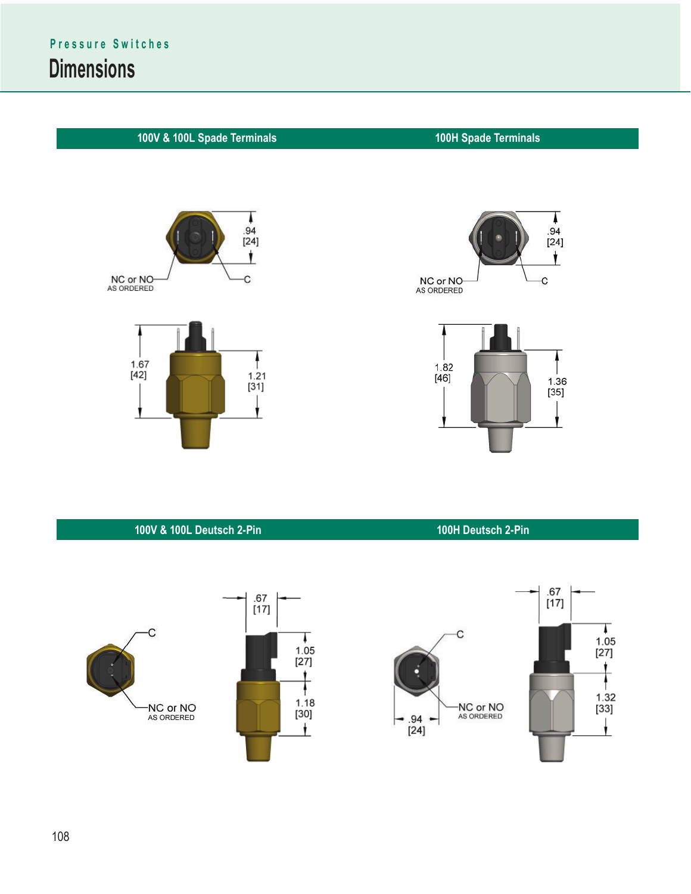

### **100V & 100L Deutsch 2-Pin 100H Deutsch 2-Pin**